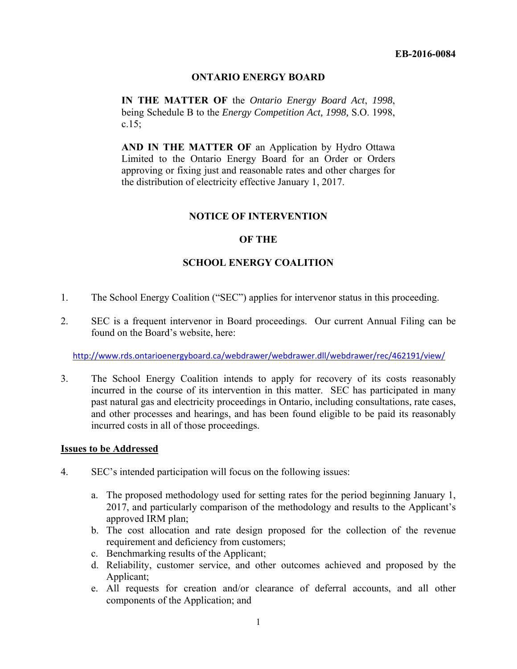## **ONTARIO ENERGY BOARD**

**IN THE MATTER OF** the *Ontario Energy Board Act*, *1998*, being Schedule B to the *Energy Competition Act, 1998,* S.O. 1998, c.15;

**AND IN THE MATTER OF** an Application by Hydro Ottawa Limited to the Ontario Energy Board for an Order or Orders approving or fixing just and reasonable rates and other charges for the distribution of electricity effective January 1, 2017.

#### **NOTICE OF INTERVENTION**

### **OF THE**

### **SCHOOL ENERGY COALITION**

- 1. The School Energy Coalition ("SEC") applies for intervenor status in this proceeding.
- 2. SEC is a frequent intervenor in Board proceedings. Our current Annual Filing can be found on the Board's website, here:

http://www.rds.ontarioenergyboard.ca/webdrawer/webdrawer.dll/webdrawer/rec/462191/view/

3. The School Energy Coalition intends to apply for recovery of its costs reasonably incurred in the course of its intervention in this matter. SEC has participated in many past natural gas and electricity proceedings in Ontario, including consultations, rate cases, and other processes and hearings, and has been found eligible to be paid its reasonably incurred costs in all of those proceedings.

#### **Issues to be Addressed**

- 4. SEC's intended participation will focus on the following issues:
	- a. The proposed methodology used for setting rates for the period beginning January 1, 2017, and particularly comparison of the methodology and results to the Applicant's approved IRM plan;
	- b. The cost allocation and rate design proposed for the collection of the revenue requirement and deficiency from customers;
	- c. Benchmarking results of the Applicant;
	- d. Reliability, customer service, and other outcomes achieved and proposed by the Applicant;
	- e. All requests for creation and/or clearance of deferral accounts, and all other components of the Application; and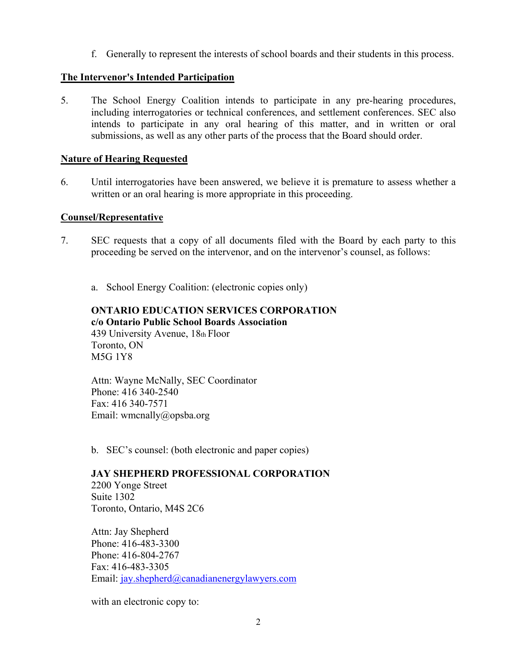f. Generally to represent the interests of school boards and their students in this process.

# **The Intervenor's Intended Participation**

5. The School Energy Coalition intends to participate in any pre-hearing procedures, including interrogatories or technical conferences, and settlement conferences. SEC also intends to participate in any oral hearing of this matter, and in written or oral submissions, as well as any other parts of the process that the Board should order.

# **Nature of Hearing Requested**

6. Until interrogatories have been answered, we believe it is premature to assess whether a written or an oral hearing is more appropriate in this proceeding.

## **Counsel/Representative**

- 7. SEC requests that a copy of all documents filed with the Board by each party to this proceeding be served on the intervenor, and on the intervenor's counsel, as follows:
	- a. School Energy Coalition: (electronic copies only)

## **ONTARIO EDUCATION SERVICES CORPORATION c/o Ontario Public School Boards Association**  439 University Avenue, 18th Floor Toronto, ON M5G 1Y8

Attn: Wayne McNally, SEC Coordinator Phone: 416 340-2540 Fax: 416 340-7571 Email: wmcnally@opsba.org

b. SEC's counsel: (both electronic and paper copies)

## **JAY SHEPHERD PROFESSIONAL CORPORATION**

2200 Yonge Street Suite 1302 Toronto, Ontario, M4S 2C6

Attn: Jay Shepherd Phone: 416-483-3300 Phone: 416-804-2767 Fax: 416-483-3305 Email: jay.shepherd@canadianenergylawyers.com

with an electronic copy to: